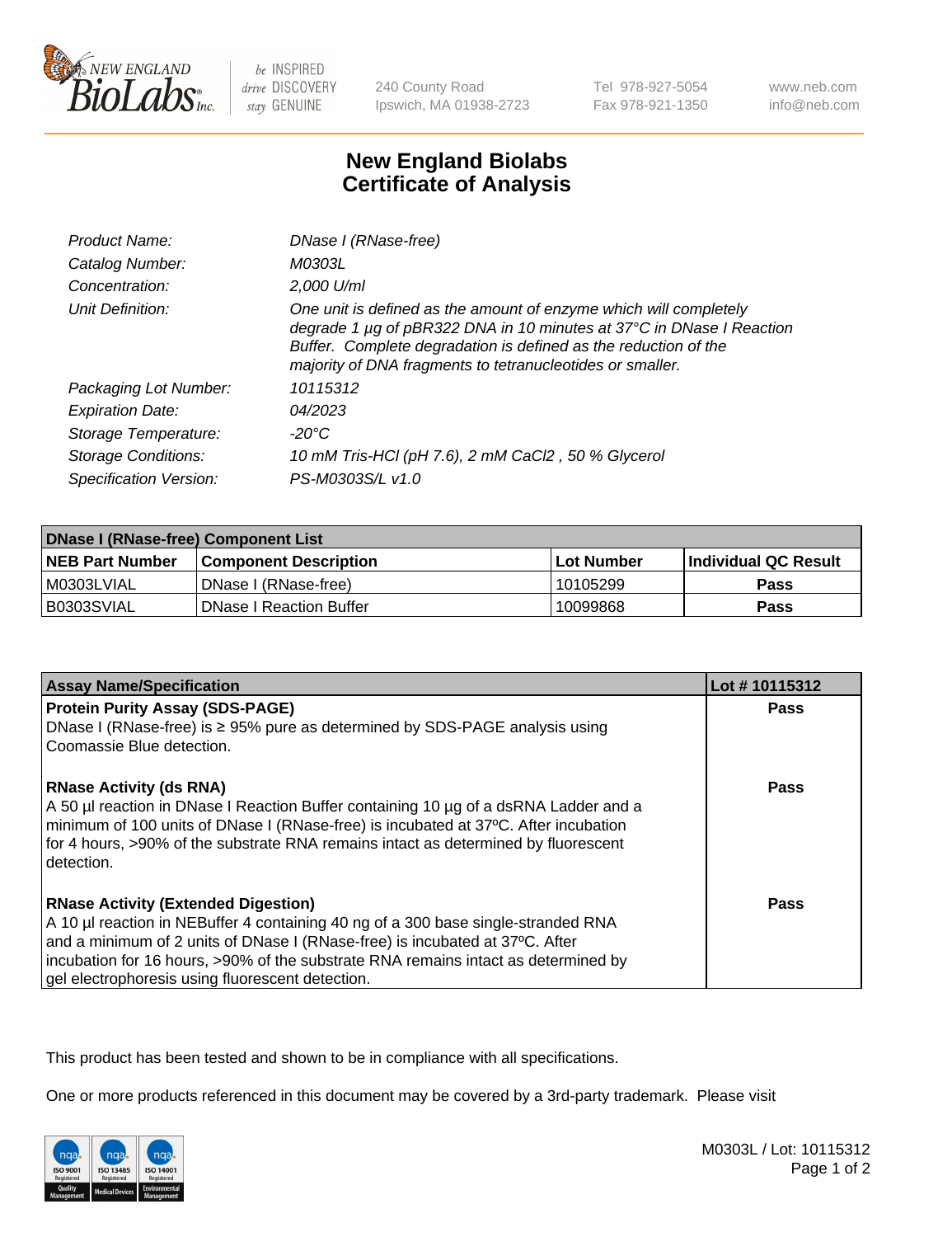

be INSPIRED drive DISCOVERY stay GENUINE

240 County Road Ipswich, MA 01938-2723 Tel 978-927-5054 Fax 978-921-1350

www.neb.com info@neb.com

## **New England Biolabs Certificate of Analysis**

| <b>Product Name:</b>       | DNase I (RNase-free)                                                                                                                                                                                                                                                      |
|----------------------------|---------------------------------------------------------------------------------------------------------------------------------------------------------------------------------------------------------------------------------------------------------------------------|
| Catalog Number:            | M0303L                                                                                                                                                                                                                                                                    |
| Concentration:             | 2,000 U/ml                                                                                                                                                                                                                                                                |
| Unit Definition:           | One unit is defined as the amount of enzyme which will completely<br>degrade 1 µg of pBR322 DNA in 10 minutes at 37°C in DNase I Reaction<br>Buffer. Complete degradation is defined as the reduction of the<br>majority of DNA fragments to tetranucleotides or smaller. |
| Packaging Lot Number:      | 10115312                                                                                                                                                                                                                                                                  |
| <b>Expiration Date:</b>    | 04/2023                                                                                                                                                                                                                                                                   |
| Storage Temperature:       | -20°C                                                                                                                                                                                                                                                                     |
| <b>Storage Conditions:</b> | 10 mM Tris-HCl (pH 7.6), 2 mM CaCl2, 50 % Glycerol                                                                                                                                                                                                                        |
| Specification Version:     | PS-M0303S/L v1.0                                                                                                                                                                                                                                                          |

| <b>DNase I (RNase-free) Component List</b> |                                |              |                             |  |
|--------------------------------------------|--------------------------------|--------------|-----------------------------|--|
| <b>NEB Part Number</b>                     | l Component Description        | l Lot Number | <b>Individual QC Result</b> |  |
| I M0303LVIAL                               | DNase I (RNase-free)           | 10105299     | <b>Pass</b>                 |  |
| I B0303SVIAL                               | <b>DNase I Reaction Buffer</b> | 10099868     | <b>Pass</b>                 |  |

| <b>Assay Name/Specification</b>                                                                  | Lot #10115312 |
|--------------------------------------------------------------------------------------------------|---------------|
| <b>Protein Purity Assay (SDS-PAGE)</b>                                                           | <b>Pass</b>   |
| DNase I (RNase-free) is ≥ 95% pure as determined by SDS-PAGE analysis using                      |               |
| Coomassie Blue detection.                                                                        |               |
| <b>RNase Activity (ds RNA)</b>                                                                   | <b>Pass</b>   |
| A 50 µl reaction in DNase I Reaction Buffer containing 10 µg of a dsRNA Ladder and a             |               |
| minimum of 100 units of DNase I (RNase-free) is incubated at 37°C. After incubation              |               |
| for 4 hours, >90% of the substrate RNA remains intact as determined by fluorescent<br>detection. |               |
|                                                                                                  |               |
| <b>RNase Activity (Extended Digestion)</b>                                                       | Pass          |
| A 10 µl reaction in NEBuffer 4 containing 40 ng of a 300 base single-stranded RNA                |               |
| and a minimum of 2 units of DNase I (RNase-free) is incubated at 37°C. After                     |               |
| incubation for 16 hours, >90% of the substrate RNA remains intact as determined by               |               |
| gel electrophoresis using fluorescent detection.                                                 |               |

This product has been tested and shown to be in compliance with all specifications.

One or more products referenced in this document may be covered by a 3rd-party trademark. Please visit